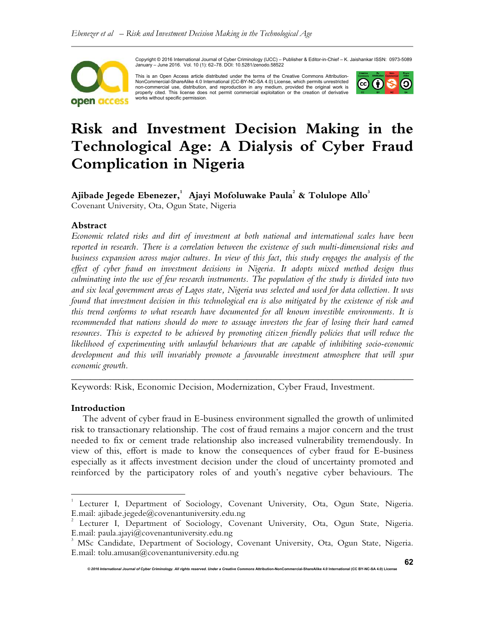

Copyright © 2016 International Journal of Cyber Criminology (IJCC) – Publisher & Editor-in-Chief – K. Jaishankar ISSN: 0973-5089 January – June 2016. Vol. 10 (1): 62–78. DOI: 10.5281/zenodo.58522

This is an Open Access article distributed under the terms of the Creative Commons Attribution-NonCommercial-ShareAlike 4.0 International (CC-BY-NC-SA 4.0) License, which permits unrestricted non-commercial use, distribution, and reproduction in any medium, provided the original work is<br>properly cited. This license does not permit commercial exploitation or the creation of derivative<br>works without specific perm



# **Risk and Investment Decision Making in the Technological Age: A Dialysis of Cyber Fraud Complication in Nigeria**

## **Ajibade Jegede Ebenezer,<sup>1</sup> Ajayi Mofoluwake Paula<sup>2</sup> & Tolulope Allo<sup>3</sup>**

Covenant University, Ota, Ogun State, Nigeria

## **Abstract**

*Economic related risks and dirt of investment at both national and international scales have been reported in research. There is a correlation between the existence of such multi-dimensional risks and business expansion across major cultures. In view of this fact, this study engages the analysis of the effect of cyber fraud on investment decisions in Nigeria. It adopts mixed method design thus culminating into the use of few research instruments. The population of the study is divided into two and six local government areas of Lagos state, Nigeria was selected and used for data collection. It was found that investment decision in this technological era is also mitigated by the existence of risk and this trend conforms to what research have documented for all known investible environments. It is*  recommended that nations should do more to assuage investors the fear of losing their hard earned resources. This is expected to be achieved by promoting citizen friendly policies that will reduce the *likelihood of experimenting with unlawful behaviours that are capable of inhibiting socio-economic development and this will invariably promote a favourable investment atmosphere that will spur economic growth.* 

Keywords: Risk, Economic Decision, Modernization, Cyber Fraud, Investment.

## **Introduction**

 $\overline{a}$ 

The advent of cyber fraud in E-business environment signalled the growth of unlimited risk to transactionary relationship. The cost of fraud remains a major concern and the trust needed to fix or cement trade relationship also increased vulnerability tremendously. In view of this, effort is made to know the consequences of cyber fraud for E-business especially as it affects investment decision under the cloud of uncertainty promoted and reinforced by the participatory roles of and youth's negative cyber behaviours. The

*\_\_\_\_\_\_\_\_\_\_\_\_\_\_\_\_\_\_\_\_\_\_\_\_\_\_\_\_\_\_\_\_\_\_\_\_\_\_\_\_\_\_\_\_\_\_\_\_\_\_\_\_\_\_\_\_\_\_\_\_\_\_\_\_\_\_\_\_\_\_\_\_* 

<sup>1</sup> Lecturer I, Department of Sociology, Covenant University, Ota, Ogun State, Nigeria. E.mail: ajibade.jegede@covenantuniversity.edu.ng

<sup>2</sup> Lecturer I, Department of Sociology, Covenant University, Ota, Ogun State, Nigeria. E.mail: paula.ajayi@covenantuniversity.edu.ng

<sup>&</sup>lt;sup>3</sup> MSc Candidate, Department of Sociology, Covenant University, Ota, Ogun State, Nigeria. E.mail: tolu.amusan@covenantuniversity.edu.ng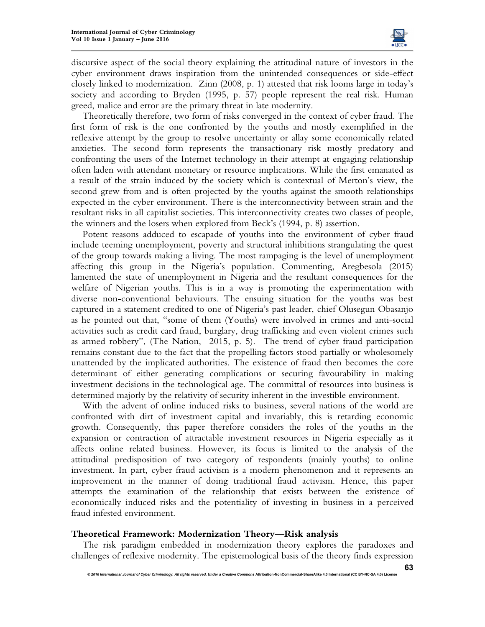

discursive aspect of the social theory explaining the attitudinal nature of investors in the cyber environment draws inspiration from the unintended consequences or side-effect closely linked to modernization. Zinn (2008, p. 1) attested that risk looms large in today's society and according to Bryden (1995, p. 57) people represent the real risk. Human greed, malice and error are the primary threat in late modernity.

Theoretically therefore, two form of risks converged in the context of cyber fraud. The first form of risk is the one confronted by the youths and mostly exemplified in the reflexive attempt by the group to resolve uncertainty or allay some economically related anxieties. The second form represents the transactionary risk mostly predatory and confronting the users of the Internet technology in their attempt at engaging relationship often laden with attendant monetary or resource implications. While the first emanated as a result of the strain induced by the society which is contextual of Merton's view, the second grew from and is often projected by the youths against the smooth relationships expected in the cyber environment. There is the interconnectivity between strain and the resultant risks in all capitalist societies. This interconnectivity creates two classes of people, the winners and the losers when explored from Beck's (1994, p. 8) assertion.

Potent reasons adduced to escapade of youths into the environment of cyber fraud include teeming unemployment, poverty and structural inhibitions strangulating the quest of the group towards making a living. The most rampaging is the level of unemployment affecting this group in the Nigeria's population. Commenting, Aregbesola (2015) lamented the state of unemployment in Nigeria and the resultant consequences for the welfare of Nigerian youths. This is in a way is promoting the experimentation with diverse non-conventional behaviours. The ensuing situation for the youths was best captured in a statement credited to one of Nigeria's past leader, chief Olusegun Obasanjo as he pointed out that, "some of them (Youths) were involved in crimes and anti-social activities such as credit card fraud, burglary, drug trafficking and even violent crimes such as armed robbery", (The Nation, 2015, p. 5). The trend of cyber fraud participation remains constant due to the fact that the propelling factors stood partially or wholesomely unattended by the implicated authorities. The existence of fraud then becomes the core determinant of either generating complications or securing favourability in making investment decisions in the technological age. The committal of resources into business is determined majorly by the relativity of security inherent in the investible environment.

With the advent of online induced risks to business, several nations of the world are confronted with dirt of investment capital and invariably, this is retarding economic growth. Consequently, this paper therefore considers the roles of the youths in the expansion or contraction of attractable investment resources in Nigeria especially as it affects online related business. However, its focus is limited to the analysis of the attitudinal predisposition of two category of respondents (mainly youths) to online investment. In part, cyber fraud activism is a modern phenomenon and it represents an improvement in the manner of doing traditional fraud activism. Hence, this paper attempts the examination of the relationship that exists between the existence of economically induced risks and the potentiality of investing in business in a perceived fraud infested environment.

#### **Theoretical Framework: Modernization Theory—Risk analysis**

The risk paradigm embedded in modernization theory explores the paradoxes and challenges of reflexive modernity. The epistemological basis of the theory finds expression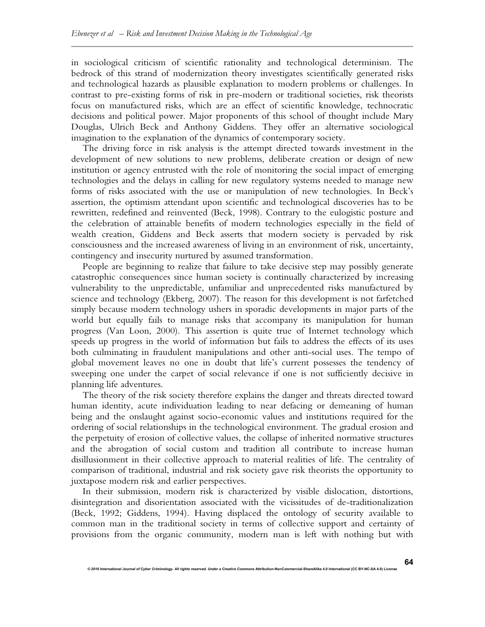in sociological criticism of scientific rationality and technological determinism. The bedrock of this strand of modernization theory investigates scientifically generated risks and technological hazards as plausible explanation to modern problems or challenges. In contrast to pre-existing forms of risk in pre-modern or traditional societies, risk theorists focus on manufactured risks, which are an effect of scientific knowledge, technocratic decisions and political power. Major proponents of this school of thought include Mary Douglas, Ulrich Beck and Anthony Giddens. They offer an alternative sociological imagination to the explanation of the dynamics of contemporary society.

The driving force in risk analysis is the attempt directed towards investment in the development of new solutions to new problems, deliberate creation or design of new institution or agency entrusted with the role of monitoring the social impact of emerging technologies and the delays in calling for new regulatory systems needed to manage new forms of risks associated with the use or manipulation of new technologies. In Beck's assertion, the optimism attendant upon scientific and technological discoveries has to be rewritten, redefined and reinvented (Beck, 1998). Contrary to the eulogistic posture and the celebration of attainable benefits of modern technologies especially in the field of wealth creation, Giddens and Beck asserts that modern society is pervaded by risk consciousness and the increased awareness of living in an environment of risk, uncertainty, contingency and insecurity nurtured by assumed transformation.

People are beginning to realize that failure to take decisive step may possibly generate catastrophic consequences since human society is continually characterized by increasing vulnerability to the unpredictable, unfamiliar and unprecedented risks manufactured by science and technology (Ekberg, 2007). The reason for this development is not farfetched simply because modern technology ushers in sporadic developments in major parts of the world but equally fails to manage risks that accompany its manipulation for human progress (Van Loon, 2000). This assertion is quite true of Internet technology which speeds up progress in the world of information but fails to address the effects of its uses both culminating in fraudulent manipulations and other anti-social uses. The tempo of global movement leaves no one in doubt that life's current possesses the tendency of sweeping one under the carpet of social relevance if one is not sufficiently decisive in planning life adventures.

The theory of the risk society therefore explains the danger and threats directed toward human identity, acute individuation leading to near defacing or demeaning of human being and the onslaught against socio-economic values and institutions required for the ordering of social relationships in the technological environment. The gradual erosion and the perpetuity of erosion of collective values, the collapse of inherited normative structures and the abrogation of social custom and tradition all contribute to increase human disillusionment in their collective approach to material realities of life. The centrality of comparison of traditional, industrial and risk society gave risk theorists the opportunity to juxtapose modern risk and earlier perspectives.

In their submission, modern risk is characterized by visible dislocation, distortions, disintegration and disorientation associated with the vicissitudes of de-traditionalization (Beck, 1992; Giddens, 1994). Having displaced the ontology of security available to common man in the traditional society in terms of collective support and certainty of provisions from the organic community, modern man is left with nothing but with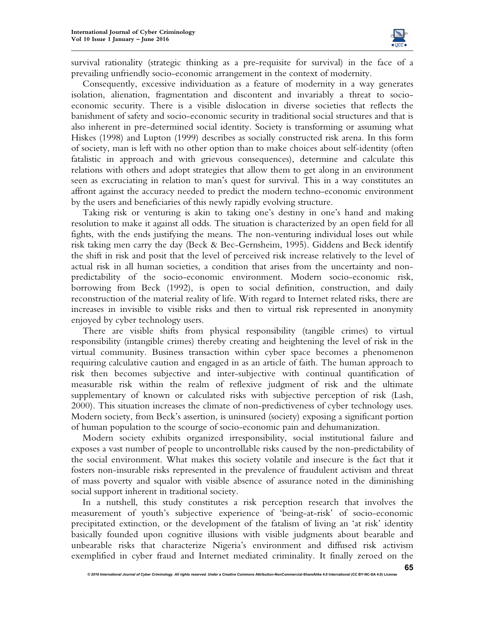

survival rationality (strategic thinking as a pre-requisite for survival) in the face of a prevailing unfriendly socio-economic arrangement in the context of modernity.

Consequently, excessive individuation as a feature of modernity in a way generates isolation, alienation, fragmentation and discontent and invariably a threat to socioeconomic security. There is a visible dislocation in diverse societies that reflects the banishment of safety and socio-economic security in traditional social structures and that is also inherent in pre-determined social identity. Society is transforming or assuming what Hiskes (1998) and Lupton (1999) describes as socially constructed risk arena. In this form of society, man is left with no other option than to make choices about self-identity (often fatalistic in approach and with grievous consequences), determine and calculate this relations with others and adopt strategies that allow them to get along in an environment seen as excruciating in relation to man's quest for survival. This in a way constitutes an affront against the accuracy needed to predict the modern techno-economic environment by the users and beneficiaries of this newly rapidly evolving structure.

Taking risk or venturing is akin to taking one's destiny in one's hand and making resolution to make it against all odds. The situation is characterized by an open field for all fights, with the ends justifying the means. The non-venturing individual loses out while risk taking men carry the day (Beck & Bec-Gernsheim, 1995). Giddens and Beck identify the shift in risk and posit that the level of perceived risk increase relatively to the level of actual risk in all human societies, a condition that arises from the uncertainty and nonpredictability of the socio-economic environment. Modern socio-economic risk, borrowing from Beck (1992), is open to social definition, construction, and daily reconstruction of the material reality of life. With regard to Internet related risks, there are increases in invisible to visible risks and then to virtual risk represented in anonymity enjoyed by cyber technology users.

There are visible shifts from physical responsibility (tangible crimes) to virtual responsibility (intangible crimes) thereby creating and heightening the level of risk in the virtual community. Business transaction within cyber space becomes a phenomenon requiring calculative caution and engaged in as an article of faith. The human approach to risk then becomes subjective and inter-subjective with continual quantification of measurable risk within the realm of reflexive judgment of risk and the ultimate supplementary of known or calculated risks with subjective perception of risk (Lash, 2000). This situation increases the climate of non-predictiveness of cyber technology uses. Modern society, from Beck's assertion, is uninsured (society) exposing a significant portion of human population to the scourge of socio-economic pain and dehumanization.

Modern society exhibits organized irresponsibility, social institutional failure and exposes a vast number of people to uncontrollable risks caused by the non-predictability of the social environment. What makes this society volatile and insecure is the fact that it fosters non-insurable risks represented in the prevalence of fraudulent activism and threat of mass poverty and squalor with visible absence of assurance noted in the diminishing social support inherent in traditional society.

In a nutshell, this study constitutes a risk perception research that involves the measurement of youth's subjective experience of 'being-at-risk' of socio-economic precipitated extinction, or the development of the fatalism of living an 'at risk' identity basically founded upon cognitive illusions with visible judgments about bearable and unbearable risks that characterize Nigeria's environment and diffused risk activism exemplified in cyber fraud and Internet mediated criminality. It finally zeroed on the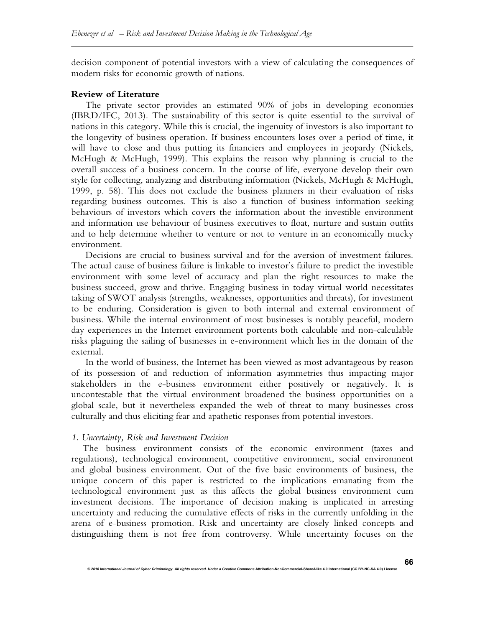decision component of potential investors with a view of calculating the consequences of modern risks for economic growth of nations.

#### **Review of Literature**

The private sector provides an estimated 90% of jobs in developing economies (IBRD/IFC, 2013). The sustainability of this sector is quite essential to the survival of nations in this category. While this is crucial, the ingenuity of investors is also important to the longevity of business operation. If business encounters loses over a period of time, it will have to close and thus putting its financiers and employees in jeopardy (Nickels, McHugh & McHugh, 1999). This explains the reason why planning is crucial to the overall success of a business concern. In the course of life, everyone develop their own style for collecting, analyzing and distributing information (Nickels, McHugh & McHugh, 1999, p. 58). This does not exclude the business planners in their evaluation of risks regarding business outcomes. This is also a function of business information seeking behaviours of investors which covers the information about the investible environment and information use behaviour of business executives to float, nurture and sustain outfits and to help determine whether to venture or not to venture in an economically mucky environment.

Decisions are crucial to business survival and for the aversion of investment failures. The actual cause of business failure is linkable to investor's failure to predict the investible environment with some level of accuracy and plan the right resources to make the business succeed, grow and thrive. Engaging business in today virtual world necessitates taking of SWOT analysis (strengths, weaknesses, opportunities and threats), for investment to be enduring. Consideration is given to both internal and external environment of business. While the internal environment of most businesses is notably peaceful, modern day experiences in the Internet environment portents both calculable and non-calculable risks plaguing the sailing of businesses in e-environment which lies in the domain of the external.

In the world of business, the Internet has been viewed as most advantageous by reason of its possession of and reduction of information asymmetries thus impacting major stakeholders in the e-business environment either positively or negatively. It is uncontestable that the virtual environment broadened the business opportunities on a global scale, but it nevertheless expanded the web of threat to many businesses cross culturally and thus eliciting fear and apathetic responses from potential investors.

#### *1. Uncertainty, Risk and Investment Decision*

The business environment consists of the economic environment (taxes and regulations), technological environment, competitive environment, social environment and global business environment. Out of the five basic environments of business, the unique concern of this paper is restricted to the implications emanating from the technological environment just as this affects the global business environment cum investment decisions. The importance of decision making is implicated in arresting uncertainty and reducing the cumulative effects of risks in the currently unfolding in the arena of e-business promotion. Risk and uncertainty are closely linked concepts and distinguishing them is not free from controversy. While uncertainty focuses on the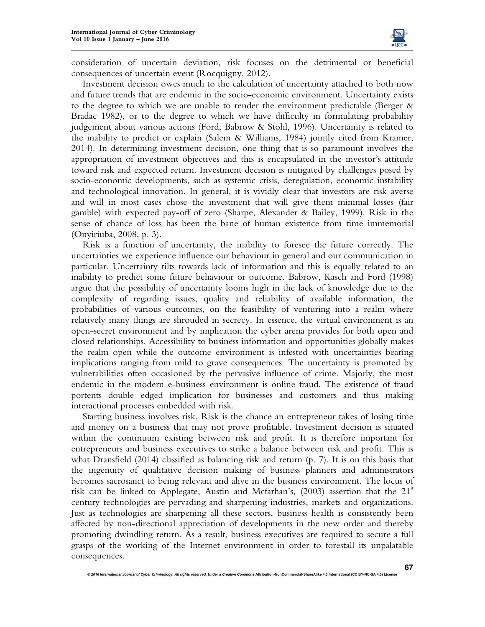

consideration of uncertain deviation, risk focuses on the detrimental or beneficial consequences of uncertain event (Rocquigny, 2012).

Investment decision owes much to the calculation of uncertainty attached to both now and future trends that are endemic in the socio-economic environment. Uncertainty exists to the degree to which we are unable to render the environment predictable (Berger & Bradac 1982), or to the degree to which we have difficulty in formulating probability judgement about various actions (Ford, Babrow & Stohl, 1996). Uncertainty is related to the inability to predict or explain (Salem & Williams, 1984) jointly cited from Kramer, 2014). In determining investment decision, one thing that is so paramount involves the appropriation of investment objectives and this is encapsulated in the investor's attitude toward risk and expected return. Investment decision is mitigated by challenges posed by socio-economic developments, such as systemic crisis, deregulation, economic instability and technological innovation. In general, it is vividly clear that investors are risk averse and will in most cases chose the investment that will give them minimal losses (fair gamble) with expected pay-off of zero (Sharpe, Alexander & Bailey, 1999). Risk in the sense of chance of loss has been the bane of human existence from time immemorial (Onyiriuba, 2008, p. 3).

Risk is a function of uncertainty, the inability to foresee the future correctly. The uncertainties we experience influence our behaviour in general and our communication in particular. Uncertainty tilts towards lack of information and this is equally related to an inability to predict some future behaviour or outcome. Babrow, Kasch and Ford (1998) argue that the possibility of uncertainty looms high in the lack of knowledge due to the complexity of regarding issues, quality and reliability of available information, the probabilities of various outcomes, on the feasibility of venturing into a realm where relatively many things are shrouded in secrecy. In essence, the virtual environment is an open-secret environment and by implication the cyber arena provides for both open and closed relationships. Accessibility to business information and opportunities globally makes the realm open while the outcome environment is infested with uncertainties bearing implications ranging from mild to grave consequences. The uncertainty is promoted by vulnerabilities often occasioned by the pervasive influence of crime. Majorly, the most endemic in the modern e-business environment is online fraud. The existence of fraud portents double edged implication for businesses and customers and thus making interactional processes embedded with risk.

Starting business involves risk. Risk is the chance an entrepreneur takes of losing time and money on a business that may not prove profitable. Investment decision is situated within the continuum existing between risk and profit. It is therefore important for entrepreneurs and business executives to strike a balance between risk and profit. This is what Dransfield (2014) classified as balancing risk and return (p. 7). It is on this basis that the ingenuity of qualitative decision making of business planners and administrators becomes sacrosanct to being relevant and alive in the business environment. The locus of risk can be linked to Applegate, Austin and Mcfarhan's,  $(2003)$  assertion that the  $21<sup>st</sup>$ century technologies are pervading and sharpening industries, markets and organizations. Just as technologies are sharpening all these sectors, business health is consistently been affected by non-directional appreciation of developments in the new order and thereby promoting dwindling return. As a result, business executives are required to secure a full grasps of the working of the Internet environment in order to forestall its unpalatable consequences.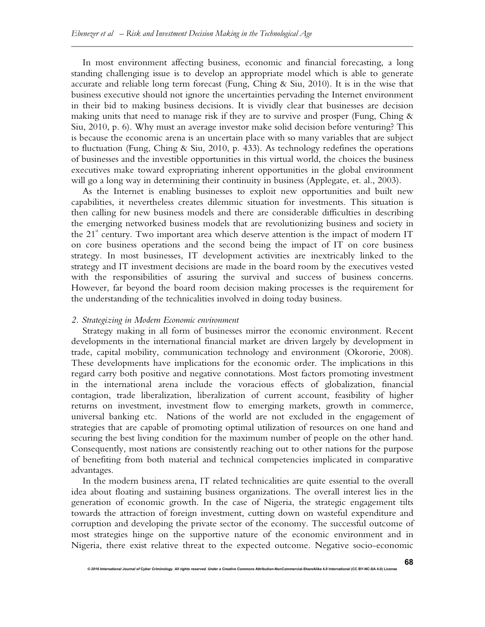In most environment affecting business, economic and financial forecasting, a long standing challenging issue is to develop an appropriate model which is able to generate accurate and reliable long term forecast (Fung, Ching & Siu, 2010). It is in the wise that business executive should not ignore the uncertainties pervading the Internet environment in their bid to making business decisions. It is vividly clear that businesses are decision making units that need to manage risk if they are to survive and prosper (Fung, Ching  $\&$ Siu, 2010, p. 6). Why must an average investor make solid decision before venturing? This is because the economic arena is an uncertain place with so many variables that are subject to fluctuation (Fung, Ching & Siu, 2010, p. 433). As technology redefines the operations of businesses and the investible opportunities in this virtual world, the choices the business executives make toward expropriating inherent opportunities in the global environment will go a long way in determining their continuity in business (Applegate, et. al., 2003).

As the Internet is enabling businesses to exploit new opportunities and built new capabilities, it nevertheless creates dilemmic situation for investments. This situation is then calling for new business models and there are considerable difficulties in describing the emerging networked business models that are revolutionizing business and society in the  $21<sup>st</sup>$  century. Two important area which deserve attention is the impact of modern IT on core business operations and the second being the impact of IT on core business strategy. In most businesses, IT development activities are inextricably linked to the strategy and IT investment decisions are made in the board room by the executives vested with the responsibilities of assuring the survival and success of business concerns. However, far beyond the board room decision making processes is the requirement for the understanding of the technicalities involved in doing today business.

#### *2. Strategizing in Modern Economic environment*

Strategy making in all form of businesses mirror the economic environment. Recent developments in the international financial market are driven largely by development in trade, capital mobility, communication technology and environment (Okororie, 2008). These developments have implications for the economic order. The implications in this regard carry both positive and negative connotations. Most factors promoting investment in the international arena include the voracious effects of globalization, financial contagion, trade liberalization, liberalization of current account, feasibility of higher returns on investment, investment flow to emerging markets, growth in commerce, universal banking etc. Nations of the world are not excluded in the engagement of strategies that are capable of promoting optimal utilization of resources on one hand and securing the best living condition for the maximum number of people on the other hand. Consequently, most nations are consistently reaching out to other nations for the purpose of benefiting from both material and technical competencies implicated in comparative advantages.

In the modern business arena, IT related technicalities are quite essential to the overall idea about floating and sustaining business organizations. The overall interest lies in the generation of economic growth. In the case of Nigeria, the strategic engagement tilts towards the attraction of foreign investment, cutting down on wasteful expenditure and corruption and developing the private sector of the economy. The successful outcome of most strategies hinge on the supportive nature of the economic environment and in Nigeria, there exist relative threat to the expected outcome. Negative socio-economic

*© 2016 International Journal of Cyber Criminology. All rights reserved. Under a Creative Commons* **Attribution-NonCommercial-ShareAlike 4.0 International (CC BY-NC-SA 4.0) License**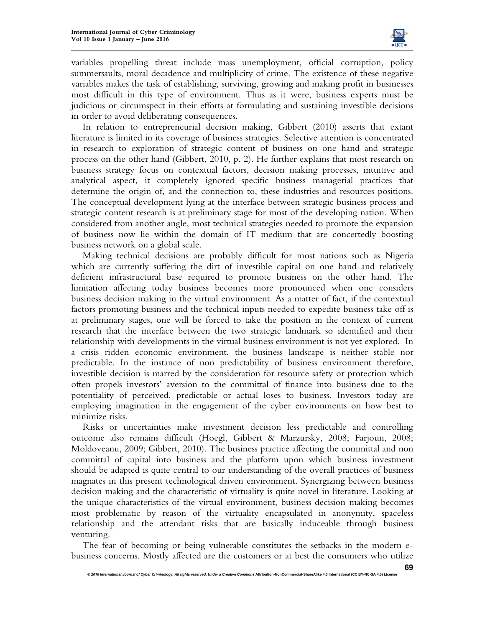

variables propelling threat include mass unemployment, official corruption, policy summersaults, moral decadence and multiplicity of crime. The existence of these negative variables makes the task of establishing, surviving, growing and making profit in businesses most difficult in this type of environment. Thus as it were, business experts must be judicious or circumspect in their efforts at formulating and sustaining investible decisions in order to avoid deliberating consequences.

In relation to entrepreneurial decision making, Gibbert (2010) asserts that extant literature is limited in its coverage of business strategies. Selective attention is concentrated in research to exploration of strategic content of business on one hand and strategic process on the other hand (Gibbert, 2010, p. 2). He further explains that most research on business strategy focus on contextual factors, decision making processes, intuitive and analytical aspect, it completely ignored specific business managerial practices that determine the origin of, and the connection to, these industries and resources positions. The conceptual development lying at the interface between strategic business process and strategic content research is at preliminary stage for most of the developing nation. When considered from another angle, most technical strategies needed to promote the expansion of business now lie within the domain of IT medium that are concertedly boosting business network on a global scale.

Making technical decisions are probably difficult for most nations such as Nigeria which are currently suffering the dirt of investible capital on one hand and relatively deficient infrastructural base required to promote business on the other hand. The limitation affecting today business becomes more pronounced when one considers business decision making in the virtual environment. As a matter of fact, if the contextual factors promoting business and the technical inputs needed to expedite business take off is at preliminary stages, one will be forced to take the position in the context of current research that the interface between the two strategic landmark so identified and their relationship with developments in the virtual business environment is not yet explored. In a crisis ridden economic environment, the business landscape is neither stable nor predictable. In the instance of non predictability of business environment therefore, investible decision is marred by the consideration for resource safety or protection which often propels investors' aversion to the committal of finance into business due to the potentiality of perceived, predictable or actual loses to business. Investors today are employing imagination in the engagement of the cyber environments on how best to minimize risks.

Risks or uncertainties make investment decision less predictable and controlling outcome also remains difficult (Hoegl, Gibbert & Marzursky, 2008; Farjoun, 2008; Moldoveanu, 2009; Gibbert, 2010). The business practice affecting the committal and non committal of capital into business and the platform upon which business investment should be adapted is quite central to our understanding of the overall practices of business magnates in this present technological driven environment. Synergizing between business decision making and the characteristic of virtuality is quite novel in literature. Looking at the unique characteristics of the virtual environment, business decision making becomes most problematic by reason of the virtuality encapsulated in anonymity, spaceless relationship and the attendant risks that are basically induceable through business venturing.

The fear of becoming or being vulnerable constitutes the setbacks in the modern ebusiness concerns. Mostly affected are the customers or at best the consumers who utilize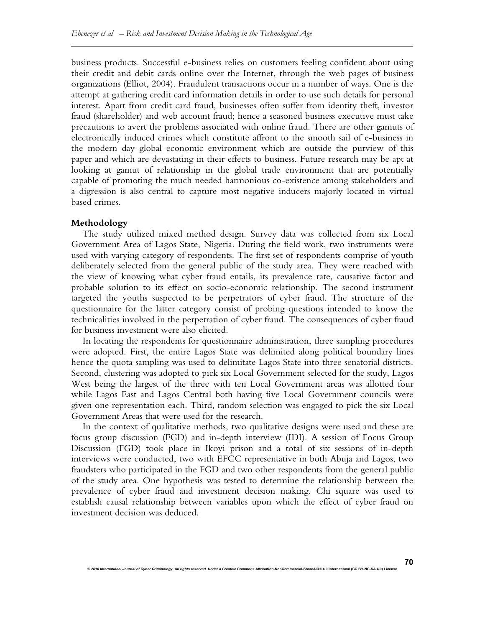business products. Successful e-business relies on customers feeling confident about using their credit and debit cards online over the Internet, through the web pages of business organizations (Elliot, 2004). Fraudulent transactions occur in a number of ways. One is the attempt at gathering credit card information details in order to use such details for personal interest. Apart from credit card fraud, businesses often suffer from identity theft, investor fraud (shareholder) and web account fraud; hence a seasoned business executive must take precautions to avert the problems associated with online fraud. There are other gamuts of electronically induced crimes which constitute affront to the smooth sail of e-business in the modern day global economic environment which are outside the purview of this paper and which are devastating in their effects to business. Future research may be apt at looking at gamut of relationship in the global trade environment that are potentially capable of promoting the much needed harmonious co-existence among stakeholders and a digression is also central to capture most negative inducers majorly located in virtual based crimes.

#### **Methodology**

The study utilized mixed method design. Survey data was collected from six Local Government Area of Lagos State, Nigeria. During the field work, two instruments were used with varying category of respondents. The first set of respondents comprise of youth deliberately selected from the general public of the study area. They were reached with the view of knowing what cyber fraud entails, its prevalence rate, causative factor and probable solution to its effect on socio-economic relationship. The second instrument targeted the youths suspected to be perpetrators of cyber fraud. The structure of the questionnaire for the latter category consist of probing questions intended to know the technicalities involved in the perpetration of cyber fraud. The consequences of cyber fraud for business investment were also elicited.

In locating the respondents for questionnaire administration, three sampling procedures were adopted. First, the entire Lagos State was delimited along political boundary lines hence the quota sampling was used to delimitate Lagos State into three senatorial districts. Second, clustering was adopted to pick six Local Government selected for the study, Lagos West being the largest of the three with ten Local Government areas was allotted four while Lagos East and Lagos Central both having five Local Government councils were given one representation each. Third, random selection was engaged to pick the six Local Government Areas that were used for the research.

In the context of qualitative methods, two qualitative designs were used and these are focus group discussion (FGD) and in-depth interview (IDI). A session of Focus Group Discussion (FGD) took place in Ikoyi prison and a total of six sessions of in-depth interviews were conducted, two with EFCC representative in both Abuja and Lagos, two fraudsters who participated in the FGD and two other respondents from the general public of the study area. One hypothesis was tested to determine the relationship between the prevalence of cyber fraud and investment decision making. Chi square was used to establish causal relationship between variables upon which the effect of cyber fraud on investment decision was deduced.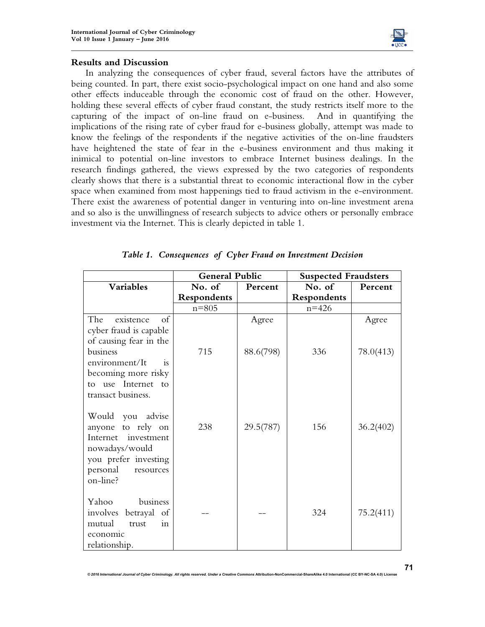

#### **Results and Discussion**

In analyzing the consequences of cyber fraud, several factors have the attributes of being counted. In part, there exist socio-psychological impact on one hand and also some other effects induceable through the economic cost of fraud on the other. However, holding these several effects of cyber fraud constant, the study restricts itself more to the capturing of the impact of on-line fraud on e-business. And in quantifying the implications of the rising rate of cyber fraud for e-business globally, attempt was made to know the feelings of the respondents if the negative activities of the on-line fraudsters have heightened the state of fear in the e-business environment and thus making it inimical to potential on-line investors to embrace Internet business dealings. In the research findings gathered, the views expressed by the two categories of respondents clearly shows that there is a substantial threat to economic interactional flow in the cyber space when examined from most happenings tied to fraud activism in the e-environment. There exist the awareness of potential danger in venturing into on-line investment arena and so also is the unwillingness of research subjects to advice others or personally embrace investment via the Internet. This is clearly depicted in table 1.

|                                                                                                                                                                      | <b>General Public</b> |           | <b>Suspected Fraudsters</b> |           |
|----------------------------------------------------------------------------------------------------------------------------------------------------------------------|-----------------------|-----------|-----------------------------|-----------|
| <b>Variables</b>                                                                                                                                                     | No. of                | Percent   | No. of                      | Percent   |
|                                                                                                                                                                      | Respondents           |           | Respondents                 |           |
|                                                                                                                                                                      | $n = 805$             |           | $n = 426$                   |           |
| existence<br>The<br>of<br>cyber fraud is capable<br>of causing fear in the                                                                                           |                       | Agree     |                             | Agree     |
| business<br>environment/It<br>i <sub>s</sub><br>becoming more risky<br>use Internet<br>$t_{\Omega}$<br>to                                                            | 715                   | 88.6(798) | 336                         | 78.0(413) |
| transact business.<br>Would you advise<br>anyone to rely on<br>Internet<br>investment<br>nowadays/would<br>you prefer investing<br>personal<br>resources<br>on-line? | 238                   | 29.5(787) | 156                         | 36.2(402) |
| business<br>Yahoo<br>involves betrayal of<br>mutual<br>trust<br>in<br>economic<br>relationship.                                                                      |                       |           | 324                         | 75.2(411) |

*© 2016 International Journal of Cyber Criminology. All rights reserved. Under a Creative Commons* **Attribution-NonCommercial-ShareAlike 4.0 International (CC BY-NC-SA 4.0) License** 

*Table 1. Consequences of Cyber Fraud on Investment Decision*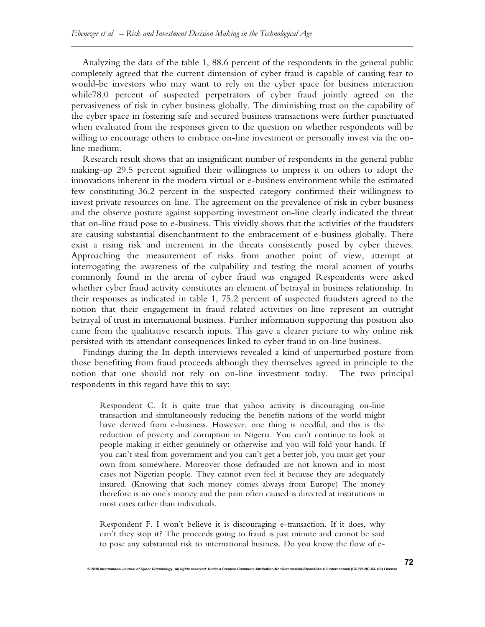Analyzing the data of the table 1, 88.6 percent of the respondents in the general public completely agreed that the current dimension of cyber fraud is capable of causing fear to would-be investors who may want to rely on the cyber space for business interaction while78.0 percent of suspected perpetrators of cyber fraud jointly agreed on the pervasiveness of risk in cyber business globally. The diminishing trust on the capability of the cyber space in fostering safe and secured business transactions were further punctuated when evaluated from the responses given to the question on whether respondents will be willing to encourage others to embrace on-line investment or personally invest via the online medium.

Research result shows that an insignificant number of respondents in the general public making-up 29.5 percent signified their willingness to impress it on others to adopt the innovations inherent in the modern virtual or e-business environment while the estimated few constituting 36.2 percent in the suspected category confirmed their willingness to invest private resources on-line. The agreement on the prevalence of risk in cyber business and the observe posture against supporting investment on-line clearly indicated the threat that on-line fraud pose to e-business. This vividly shows that the activities of the fraudsters are causing substantial disenchantment to the embracement of e-business globally. There exist a rising risk and increment in the threats consistently posed by cyber thieves. Approaching the measurement of risks from another point of view, attempt at interrogating the awareness of the culpability and testing the moral acumen of youths commonly found in the arena of cyber fraud was engaged Respondents were asked whether cyber fraud activity constitutes an element of betrayal in business relationship. In their responses as indicated in table 1, 75.2 percent of suspected fraudsters agreed to the notion that their engagement in fraud related activities on-line represent an outright betrayal of trust in international business. Further information supporting this position also came from the qualitative research inputs. This gave a clearer picture to why online risk persisted with its attendant consequences linked to cyber fraud in on-line business.

Findings during the In-depth interviews revealed a kind of unperturbed posture from those benefiting from fraud proceeds although they themselves agreed in principle to the notion that one should not rely on on-line investment today. The two principal respondents in this regard have this to say:

Respondent C. It is quite true that yahoo activity is discouraging on-line transaction and simultaneously reducing the benefits nations of the world might have derived from e-business. However, one thing is needful, and this is the reduction of poverty and corruption in Nigeria. You can't continue to look at people making it either genuinely or otherwise and you will fold your hands. If you can't steal from government and you can't get a better job, you must get your own from somewhere. Moreover those defrauded are not known and in most cases not Nigerian people. They cannot even feel it because they are adequately insured. (Knowing that such money comes always from Europe) The money therefore is no one's money and the pain often caused is directed at institutions in most cases rather than individuals.

Respondent F. I won't believe it is discouraging e-transaction. If it does, why can't they stop it? The proceeds going to fraud is just minute and cannot be said to pose any substantial risk to international business. Do you know the flow of e-

*© 2016 International Journal of Cyber Criminology. All rights reserved. Under a Creative Commons* **Attribution-NonCommercial-ShareAlike 4.0 International (CC BY-NC-SA 4.0) License**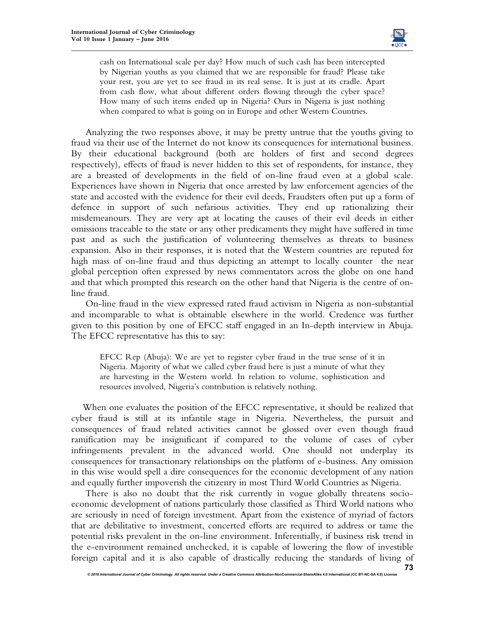

cash on International scale per day? How much of such cash has been intercepted by Nigerian youths as you claimed that we are responsible for fraud? Please take your rest, you are yet to see fraud in its real sense. It is just at its cradle. Apart from cash flow, what about different orders flowing through the cyber space? How many of such items ended up in Nigeria? Ours in Nigeria is just nothing when compared to what is going on in Europe and other Western Countries.

Analyzing the two responses above, it may be pretty untrue that the youths giving to fraud via their use of the Internet do not know its consequences for international business. By their educational background (both are holders of first and second degrees respectively), effects of fraud is never hidden to this set of respondents, for instance, they are a breasted of developments in the field of on-line fraud even at a global scale. Experiences have shown in Nigeria that once arrested by law enforcement agencies of the state and accosted with the evidence for their evil deeds, Fraudsters often put up a form of defence in support of such nefarious activities. They end up rationalizing their misdemeanours. They are very apt at locating the causes of their evil deeds in either omissions traceable to the state or any other predicaments they might have suffered in time past and as such the justification of volunteering themselves as threats to business expansion. Also in their responses, it is noted that the Western countries are reputed for high mass of on-line fraud and thus depicting an attempt to locally counter the near global perception often expressed by news commentators across the globe on one hand and that which prompted this research on the other hand that Nigeria is the centre of online fraud.

On-line fraud in the view expressed rated fraud activism in Nigeria as non-substantial and incomparable to what is obtainable elsewhere in the world. Credence was further given to this position by one of EFCC staff engaged in an In-depth interview in Abuja. The EFCC representative has this to say:

EFCC Rep (Abuja): We are yet to register cyber fraud in the true sense of it in Nigeria. Majority of what we called cyber fraud here is just a minute of what they are harvesting in the Western world. In relation to volume, sophistication and resources involved, Nigeria's contribution is relatively nothing.

When one evaluates the position of the EFCC representative, it should be realized that cyber fraud is still at its infantile stage in Nigeria. Nevertheless, the pursuit and consequences of fraud related activities cannot be glossed over even though fraud ramification may be insignificant if compared to the volume of cases of cyber infringements prevalent in the advanced world. One should not underplay its consequences for transactionary relationships on the platform of e-business. Any omission in this wise would spell a dire consequences for the economic development of any nation and equally further impoverish the citizenry in most Third World Countries as Nigeria.

 There is also no doubt that the risk currently in vogue globally threatens socioeconomic development of nations particularly those classified as Third World nations who are seriously in need of foreign investment. Apart from the existence of myriad of factors that are debilitative to investment, concerted efforts are required to address or tame the potential risks prevalent in the on-line environment. Inferentially, if business risk trend in the e-environment remained unchecked, it is capable of lowering the flow of investible foreign capital and it is also capable of drastically reducing the standards of living of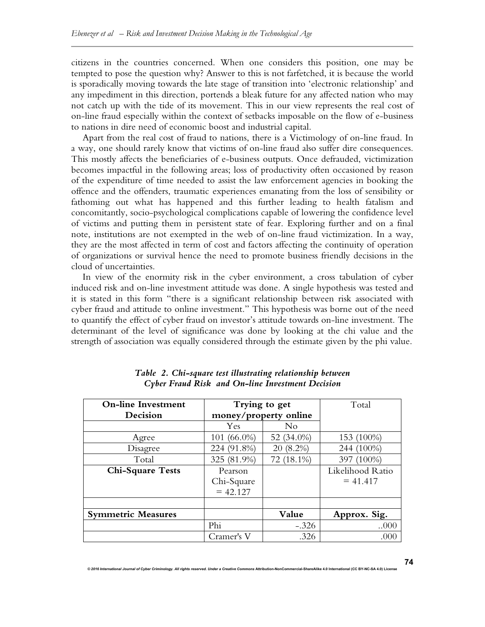citizens in the countries concerned. When one considers this position, one may be tempted to pose the question why? Answer to this is not farfetched, it is because the world is sporadically moving towards the late stage of transition into 'electronic relationship' and any impediment in this direction, portends a bleak future for any affected nation who may not catch up with the tide of its movement. This in our view represents the real cost of on-line fraud especially within the context of setbacks imposable on the flow of e-business to nations in dire need of economic boost and industrial capital.

Apart from the real cost of fraud to nations, there is a Victimology of on-line fraud. In a way, one should rarely know that victims of on-line fraud also suffer dire consequences. This mostly affects the beneficiaries of e-business outputs. Once defrauded, victimization becomes impactful in the following areas; loss of productivity often occasioned by reason of the expenditure of time needed to assist the law enforcement agencies in booking the offence and the offenders, traumatic experiences emanating from the loss of sensibility or fathoming out what has happened and this further leading to health fatalism and concomitantly, socio-psychological complications capable of lowering the confidence level of victims and putting them in persistent state of fear. Exploring further and on a final note, institutions are not exempted in the web of on-line fraud victimization. In a way, they are the most affected in term of cost and factors affecting the continuity of operation of organizations or survival hence the need to promote business friendly decisions in the cloud of uncertainties.

In view of the enormity risk in the cyber environment, a cross tabulation of cyber induced risk and on-line investment attitude was done. A single hypothesis was tested and it is stated in this form "there is a significant relationship between risk associated with cyber fraud and attitude to online investment." This hypothesis was borne out of the need to quantify the effect of cyber fraud on investor's attitude towards on-line investment. The determinant of the level of significance was done by looking at the chi value and the strength of association was equally considered through the estimate given by the phi value.

| <b>On-line Investment</b> |                       | Trying to get  | Total            |
|---------------------------|-----------------------|----------------|------------------|
| Decision                  | money/property online |                |                  |
|                           | Yes                   | N <sub>o</sub> |                  |
| Agree                     | 101 (66.0%)           | 52 (34.0%)     | 153 (100%)       |
| Disagree                  | 224 (91.8%)           | 20 (8.2%)      | 244 (100%)       |
| Total                     | 325 (81.9%)           | 72 (18.1%)     | 397 (100%)       |
| <b>Chi-Square Tests</b>   | Pearson               |                | Likelihood Ratio |
|                           | Chi-Square            |                | $= 41.417$       |
|                           | $= 42.127$            |                |                  |
|                           |                       |                |                  |
| <b>Symmetric Measures</b> |                       | Value          | Approx. Sig.     |
|                           | Phi                   | $-.326$        | 000              |
|                           | Cramer's V            | .326           | .000             |

*Table 2. Chi-square test illustrating relationship between Cyber Fraud Risk and On-line Investment Decision*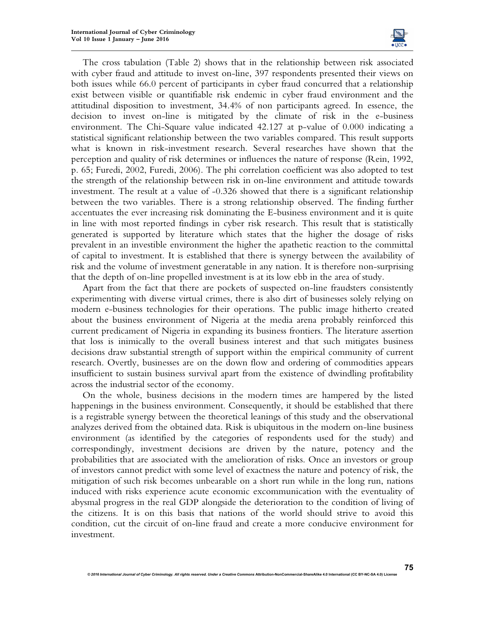

The cross tabulation (Table 2) shows that in the relationship between risk associated with cyber fraud and attitude to invest on-line, 397 respondents presented their views on both issues while 66.0 percent of participants in cyber fraud concurred that a relationship exist between visible or quantifiable risk endemic in cyber fraud environment and the attitudinal disposition to investment, 34.4% of non participants agreed. In essence, the decision to invest on-line is mitigated by the climate of risk in the e-business environment. The Chi-Square value indicated 42.127 at p-value of 0.000 indicating a statistical significant relationship between the two variables compared. This result supports what is known in risk-investment research. Several researches have shown that the perception and quality of risk determines or influences the nature of response (Rein, 1992, p. 65; Furedi, 2002, Furedi, 2006). The phi correlation coefficient was also adopted to test the strength of the relationship between risk in on-line environment and attitude towards investment. The result at a value of -0.326 showed that there is a significant relationship between the two variables. There is a strong relationship observed. The finding further accentuates the ever increasing risk dominating the E-business environment and it is quite in line with most reported findings in cyber risk research. This result that is statistically generated is supported by literature which states that the higher the dosage of risks prevalent in an investible environment the higher the apathetic reaction to the committal of capital to investment. It is established that there is synergy between the availability of risk and the volume of investment generatable in any nation. It is therefore non-surprising that the depth of on-line propelled investment is at its low ebb in the area of study.

Apart from the fact that there are pockets of suspected on-line fraudsters consistently experimenting with diverse virtual crimes, there is also dirt of businesses solely relying on modern e-business technologies for their operations. The public image hitherto created about the business environment of Nigeria at the media arena probably reinforced this current predicament of Nigeria in expanding its business frontiers. The literature assertion that loss is inimically to the overall business interest and that such mitigates business decisions draw substantial strength of support within the empirical community of current research. Overtly, businesses are on the down flow and ordering of commodities appears insufficient to sustain business survival apart from the existence of dwindling profitability across the industrial sector of the economy.

On the whole, business decisions in the modern times are hampered by the listed happenings in the business environment. Consequently, it should be established that there is a registrable synergy between the theoretical leanings of this study and the observational analyzes derived from the obtained data. Risk is ubiquitous in the modern on-line business environment (as identified by the categories of respondents used for the study) and correspondingly, investment decisions are driven by the nature, potency and the probabilities that are associated with the amelioration of risks. Once an investors or group of investors cannot predict with some level of exactness the nature and potency of risk, the mitigation of such risk becomes unbearable on a short run while in the long run, nations induced with risks experience acute economic excommunication with the eventuality of abysmal progress in the real GDP alongside the deterioration to the condition of living of the citizens. It is on this basis that nations of the world should strive to avoid this condition, cut the circuit of on-line fraud and create a more conducive environment for investment.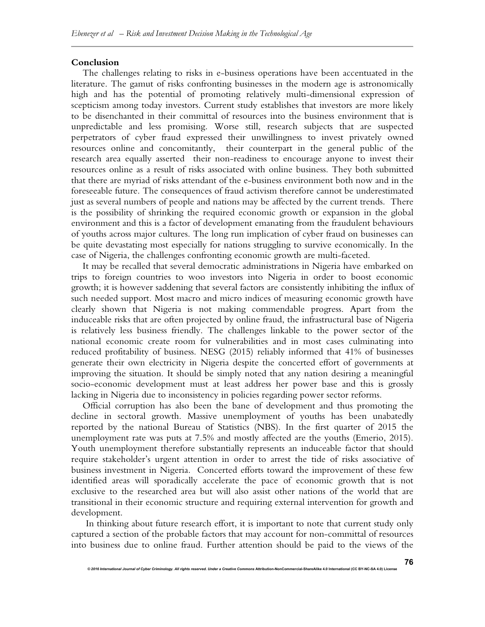#### **Conclusion**

The challenges relating to risks in e-business operations have been accentuated in the literature. The gamut of risks confronting businesses in the modern age is astronomically high and has the potential of promoting relatively multi-dimensional expression of scepticism among today investors. Current study establishes that investors are more likely to be disenchanted in their committal of resources into the business environment that is unpredictable and less promising. Worse still, research subjects that are suspected perpetrators of cyber fraud expressed their unwillingness to invest privately owned resources online and concomitantly, their counterpart in the general public of the research area equally asserted their non-readiness to encourage anyone to invest their resources online as a result of risks associated with online business. They both submitted that there are myriad of risks attendant of the e-business environment both now and in the foreseeable future. The consequences of fraud activism therefore cannot be underestimated just as several numbers of people and nations may be affected by the current trends. There is the possibility of shrinking the required economic growth or expansion in the global environment and this is a factor of development emanating from the fraudulent behaviours of youths across major cultures. The long run implication of cyber fraud on businesses can be quite devastating most especially for nations struggling to survive economically. In the case of Nigeria, the challenges confronting economic growth are multi-faceted.

It may be recalled that several democratic administrations in Nigeria have embarked on trips to foreign countries to woo investors into Nigeria in order to boost economic growth; it is however saddening that several factors are consistently inhibiting the influx of such needed support. Most macro and micro indices of measuring economic growth have clearly shown that Nigeria is not making commendable progress. Apart from the induceable risks that are often projected by online fraud, the infrastructural base of Nigeria is relatively less business friendly. The challenges linkable to the power sector of the national economic create room for vulnerabilities and in most cases culminating into reduced profitability of business. NESG (2015) reliably informed that 41% of businesses generate their own electricity in Nigeria despite the concerted effort of governments at improving the situation. It should be simply noted that any nation desiring a meaningful socio-economic development must at least address her power base and this is grossly lacking in Nigeria due to inconsistency in policies regarding power sector reforms.

Official corruption has also been the bane of development and thus promoting the decline in sectoral growth. Massive unemployment of youths has been unabatedly reported by the national Bureau of Statistics (NBS). In the first quarter of 2015 the unemployment rate was puts at 7.5% and mostly affected are the youths (Emerio, 2015). Youth unemployment therefore substantially represents an induceable factor that should require stakeholder's urgent attention in order to arrest the tide of risks associative of business investment in Nigeria. Concerted efforts toward the improvement of these few identified areas will sporadically accelerate the pace of economic growth that is not exclusive to the researched area but will also assist other nations of the world that are transitional in their economic structure and requiring external intervention for growth and development.

In thinking about future research effort, it is important to note that current study only captured a section of the probable factors that may account for non-committal of resources into business due to online fraud. Further attention should be paid to the views of the

*© 2016 International Journal of Cyber Criminology. All rights reserved. Under a Creative Commons* **Attribution-NonCommercial-ShareAlike 4.0 International (CC BY-NC-SA 4.0) License**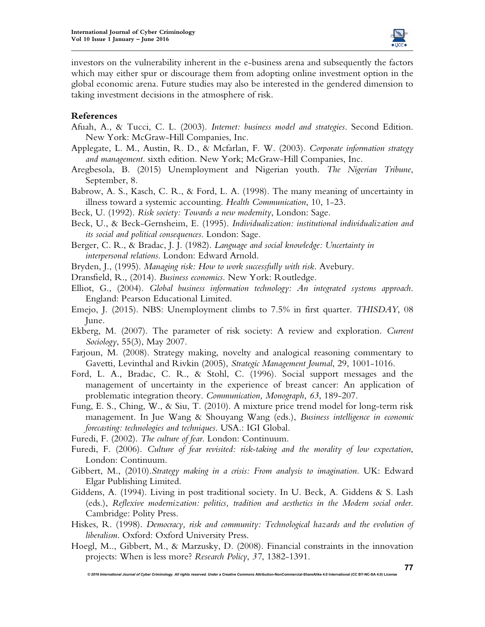

investors on the vulnerability inherent in the e-business arena and subsequently the factors which may either spur or discourage them from adopting online investment option in the global economic arena. Future studies may also be interested in the gendered dimension to taking investment decisions in the atmosphere of risk.

## **References**

- Afuah, A., & Tucci, C. L. (2003). *Internet: business model and strategies*. Second Edition. New York: McGraw-Hill Companies, Inc.
- Applegate, L. M., Austin, R. D., & Mcfarlan, F. W. (2003). *Corporate information strategy and management*. sixth edition. New York; McGraw-Hill Companies, Inc.
- Aregbesola, B. (2015) Unemployment and Nigerian youth. *The Nigerian Tribune*, September, 8.
- Babrow, A. S., Kasch, C. R., & Ford, L. A. (1998). The many meaning of uncertainty in illness toward a systemic accounting. *Health Communication*, 10, 1-23.
- Beck, U. (1992). *Risk society: Towards a new modernity*, London: Sage.
- Beck, U., & Beck-Gernsheim, E. (1995). *Individualization: institutional individualization and its social and political consequences*. London: Sage.
- Berger, C. R., & Bradac, J. J. (1982). *Language and social knowledge: Uncertainty in interpersonal relations*. London: Edward Arnold.
- Bryden, J., (1995). *Managing risk: How to work successfully with risk*. Avebury.
- Dransfield, R., (2014). *Business economics*. New York: Routledge.
- Elliot, G., (2004). *Global business information technology: An integrated systems approach*. England: Pearson Educational Limited.
- Emejo, J. (2015). NBS: Unemployment climbs to 7.5% in first quarter. *THISDAY*, 08 June.
- Ekberg, M. (2007). The parameter of risk society: A review and exploration. *Current Sociology*, 55(3), May 2007.
- Farjoun, M. (2008). Strategy making, novelty and analogical reasoning commentary to Gavetti, Levinthal and Rivkin (2005), *Strategic Management Journal*, 29, 1001-1016.
- Ford, L. A., Bradac, C. R., & Stohl, C. (1996). Social support messages and the management of uncertainty in the experience of breast cancer: An application of problematic integration theory. *Communication, Monograph*, *63*, 189-207.
- Fung, E. S., Ching, W., & Siu, T. (2010). A mixture price trend model for long-term risk management. In Jue Wang & Shouyang Wang (eds.), *Business intelligence in economic forecasting: technologies and techniques*. USA.: IGI Global.
- Furedi, F. (2002). *The culture of fear*. London: Continuum.
- Furedi, F. (2006). *Culture of fear revisited: risk-taking and the morality of low expectation*, London: Continuum.
- Gibbert, M., (2010).*Strategy making in a crisis: From analysis to imagination*. UK: Edward Elgar Publishing Limited.
- Giddens, A. (1994). Living in post traditional society. In U. Beck, A. Giddens & S. Lash (eds.), *Reflexive modernization: politics, tradition and aesthetics in the Modern social order*. Cambridge: Polity Press.
- Hiskes, R. (1998). *Democracy, risk and community: Technological hazards and the evolution of liberalism*. Oxford: Oxford University Press.
- Hoegl, M.., Gibbert, M., & Marzusky, D. (2008). Financial constraints in the innovation projects: When is less more? *Research Policy*, *37*, 1382-1391.